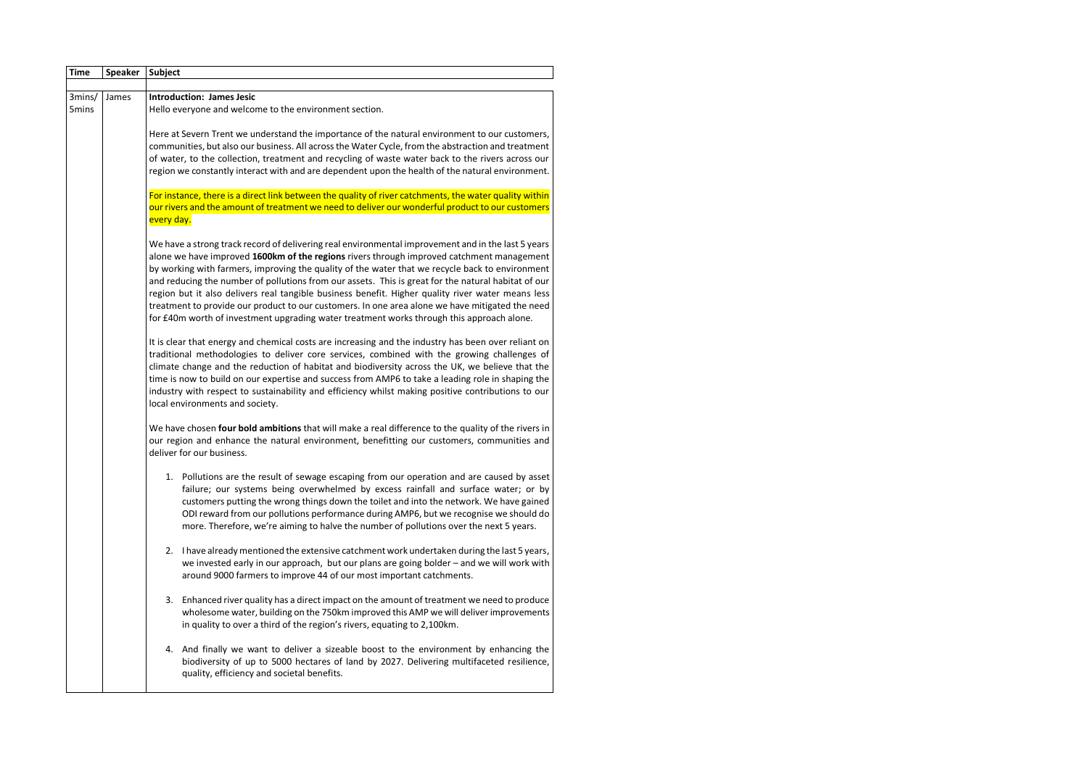| <b>Time</b>     | <b>Speaker</b> | Subject                                                                                                                                                                                                                                                                                                                                                                                                                                                                                                                                                                                                                                                                                                        |                                                                                                                                                                                                                                |  |                                                                                                                                                                                                                                                                                                                                                                                                                                                                                                                                                     |
|-----------------|----------------|----------------------------------------------------------------------------------------------------------------------------------------------------------------------------------------------------------------------------------------------------------------------------------------------------------------------------------------------------------------------------------------------------------------------------------------------------------------------------------------------------------------------------------------------------------------------------------------------------------------------------------------------------------------------------------------------------------------|--------------------------------------------------------------------------------------------------------------------------------------------------------------------------------------------------------------------------------|--|-----------------------------------------------------------------------------------------------------------------------------------------------------------------------------------------------------------------------------------------------------------------------------------------------------------------------------------------------------------------------------------------------------------------------------------------------------------------------------------------------------------------------------------------------------|
|                 |                |                                                                                                                                                                                                                                                                                                                                                                                                                                                                                                                                                                                                                                                                                                                |                                                                                                                                                                                                                                |  |                                                                                                                                                                                                                                                                                                                                                                                                                                                                                                                                                     |
| 3mins/<br>5mins | James          | <b>Introduction: James Jesic</b><br>Hello everyone and welcome to the environment section.                                                                                                                                                                                                                                                                                                                                                                                                                                                                                                                                                                                                                     |                                                                                                                                                                                                                                |  |                                                                                                                                                                                                                                                                                                                                                                                                                                                                                                                                                     |
|                 |                | Here at Severn Trent we understand the importance of the natural environment to our customers,<br>communities, but also our business. All across the Water Cycle, from the abstraction and treatment<br>of water, to the collection, treatment and recycling of waste water back to the rivers across our<br>region we constantly interact with and are dependent upon the health of the natural environment.                                                                                                                                                                                                                                                                                                  |                                                                                                                                                                                                                                |  |                                                                                                                                                                                                                                                                                                                                                                                                                                                                                                                                                     |
|                 |                | For instance, there is a direct link between the quality of river catchments, the water quality within<br>our rivers and the amount of treatment we need to deliver our wonderful product to our customers<br>every day.                                                                                                                                                                                                                                                                                                                                                                                                                                                                                       |                                                                                                                                                                                                                                |  |                                                                                                                                                                                                                                                                                                                                                                                                                                                                                                                                                     |
|                 |                | We have a strong track record of delivering real environmental improvement and in the last 5 years<br>alone we have improved 1600km of the regions rivers through improved catchment management<br>by working with farmers, improving the quality of the water that we recycle back to environment<br>and reducing the number of pollutions from our assets. This is great for the natural habitat of our<br>region but it also delivers real tangible business benefit. Higher quality river water means less<br>treatment to provide our product to our customers. In one area alone we have mitigated the need<br>for £40m worth of investment upgrading water treatment works through this approach alone. |                                                                                                                                                                                                                                |  |                                                                                                                                                                                                                                                                                                                                                                                                                                                                                                                                                     |
|                 |                |                                                                                                                                                                                                                                                                                                                                                                                                                                                                                                                                                                                                                                                                                                                |                                                                                                                                                                                                                                |  | It is clear that energy and chemical costs are increasing and the industry has been over reliant on<br>traditional methodologies to deliver core services, combined with the growing challenges of<br>climate change and the reduction of habitat and biodiversity across the UK, we believe that the<br>time is now to build on our expertise and success from AMP6 to take a leading role in shaping the<br>industry with respect to sustainability and efficiency whilst making positive contributions to our<br>local environments and society. |
|                 |                |                                                                                                                                                                                                                                                                                                                                                                                                                                                                                                                                                                                                                                                                                                                | We have chosen four bold ambitions that will make a real difference to the quality of the rivers in<br>our region and enhance the natural environment, benefitting our customers, communities and<br>deliver for our business. |  |                                                                                                                                                                                                                                                                                                                                                                                                                                                                                                                                                     |
|                 |                | 1. Pollutions are the result of sewage escaping from our operation and are caused by asset<br>failure; our systems being overwhelmed by excess rainfall and surface water; or by<br>customers putting the wrong things down the toilet and into the network. We have gained<br>ODI reward from our pollutions performance during AMP6, but we recognise we should do<br>more. Therefore, we're aiming to halve the number of pollutions over the next 5 years.                                                                                                                                                                                                                                                 |                                                                                                                                                                                                                                |  |                                                                                                                                                                                                                                                                                                                                                                                                                                                                                                                                                     |
|                 |                | 2. I have already mentioned the extensive catchment work undertaken during the last 5 years,<br>we invested early in our approach, but our plans are going bolder - and we will work with<br>around 9000 farmers to improve 44 of our most important catchments.                                                                                                                                                                                                                                                                                                                                                                                                                                               |                                                                                                                                                                                                                                |  |                                                                                                                                                                                                                                                                                                                                                                                                                                                                                                                                                     |
|                 |                | 3. Enhanced river quality has a direct impact on the amount of treatment we need to produce<br>wholesome water, building on the 750km improved this AMP we will deliver improvements<br>in quality to over a third of the region's rivers, equating to 2,100km.                                                                                                                                                                                                                                                                                                                                                                                                                                                |                                                                                                                                                                                                                                |  |                                                                                                                                                                                                                                                                                                                                                                                                                                                                                                                                                     |
|                 |                | 4. And finally we want to deliver a sizeable boost to the environment by enhancing the<br>biodiversity of up to 5000 hectares of land by 2027. Delivering multifaceted resilience,<br>quality, efficiency and societal benefits.                                                                                                                                                                                                                                                                                                                                                                                                                                                                               |                                                                                                                                                                                                                                |  |                                                                                                                                                                                                                                                                                                                                                                                                                                                                                                                                                     |
|                 |                |                                                                                                                                                                                                                                                                                                                                                                                                                                                                                                                                                                                                                                                                                                                |                                                                                                                                                                                                                                |  |                                                                                                                                                                                                                                                                                                                                                                                                                                                                                                                                                     |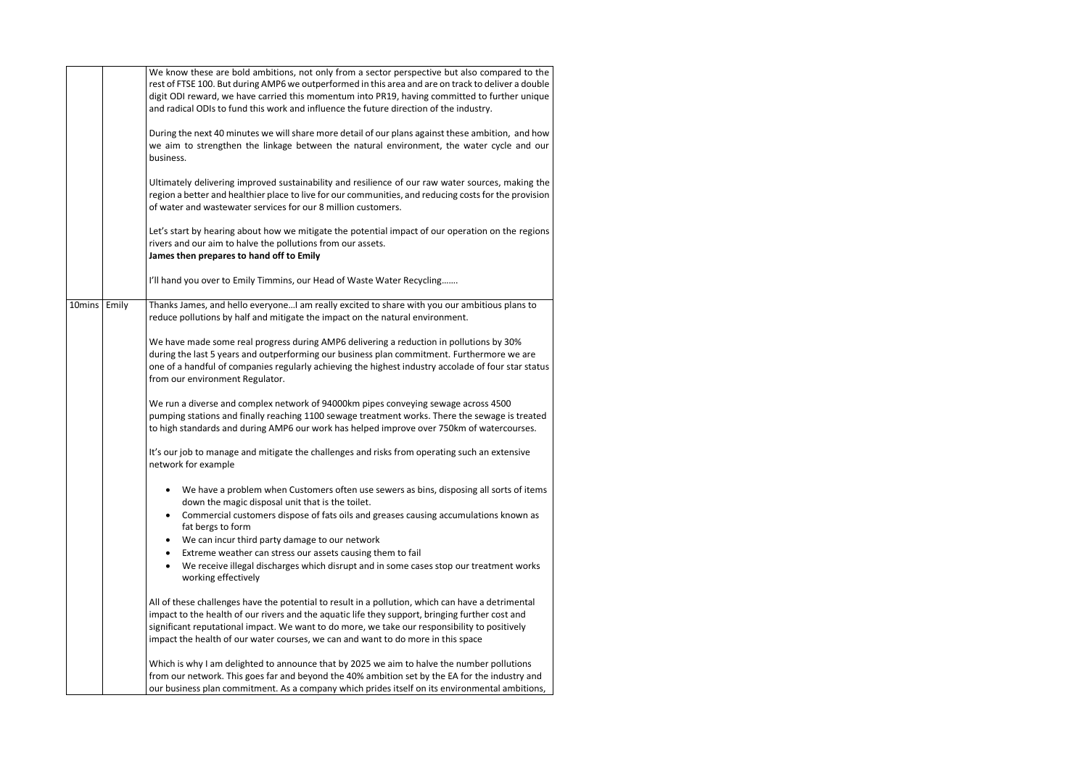|        |       | We know these are bold ambitions, not only from a sector perspective but also compared to the<br>rest of FTSE 100. But during AMP6 we outperformed in this area and are on track to deliver a double<br>digit ODI reward, we have carried this momentum into PR19, having committed to further unique<br>and radical ODIs to fund this work and influence the future direction of the industry.<br>During the next 40 minutes we will share more detail of our plans against these ambition, and how<br>we aim to strengthen the linkage between the natural environment, the water cycle and our<br>business.<br>Ultimately delivering improved sustainability and resilience of our raw water sources, making the<br>region a better and healthier place to live for our communities, and reducing costs for the provision<br>of water and wastewater services for our 8 million customers.<br>Let's start by hearing about how we mitigate the potential impact of our operation on the regions<br>rivers and our aim to halve the pollutions from our assets.<br>James then prepares to hand off to Emily<br>I'll hand you over to Emily Timmins, our Head of Waste Water Recycling |
|--------|-------|-----------------------------------------------------------------------------------------------------------------------------------------------------------------------------------------------------------------------------------------------------------------------------------------------------------------------------------------------------------------------------------------------------------------------------------------------------------------------------------------------------------------------------------------------------------------------------------------------------------------------------------------------------------------------------------------------------------------------------------------------------------------------------------------------------------------------------------------------------------------------------------------------------------------------------------------------------------------------------------------------------------------------------------------------------------------------------------------------------------------------------------------------------------------------------------------|
| 10mins | Emily | Thanks James, and hello everyoneI am really excited to share with you our ambitious plans to<br>reduce pollutions by half and mitigate the impact on the natural environment.<br>We have made some real progress during AMP6 delivering a reduction in pollutions by 30%<br>during the last 5 years and outperforming our business plan commitment. Furthermore we are<br>one of a handful of companies regularly achieving the highest industry accolade of four star status<br>from our environment Regulator.                                                                                                                                                                                                                                                                                                                                                                                                                                                                                                                                                                                                                                                                        |
|        |       | We run a diverse and complex network of 94000km pipes conveying sewage across 4500<br>pumping stations and finally reaching 1100 sewage treatment works. There the sewage is treated<br>to high standards and during AMP6 our work has helped improve over 750km of watercourses.<br>It's our job to manage and mitigate the challenges and risks from operating such an extensive                                                                                                                                                                                                                                                                                                                                                                                                                                                                                                                                                                                                                                                                                                                                                                                                      |
|        |       | network for example                                                                                                                                                                                                                                                                                                                                                                                                                                                                                                                                                                                                                                                                                                                                                                                                                                                                                                                                                                                                                                                                                                                                                                     |
|        |       | We have a problem when Customers often use sewers as bins, disposing all sorts of items<br>down the magic disposal unit that is the toilet.                                                                                                                                                                                                                                                                                                                                                                                                                                                                                                                                                                                                                                                                                                                                                                                                                                                                                                                                                                                                                                             |
|        |       | Commercial customers dispose of fats oils and greases causing accumulations known as<br>fat bergs to form<br>We can incur third party damage to our network                                                                                                                                                                                                                                                                                                                                                                                                                                                                                                                                                                                                                                                                                                                                                                                                                                                                                                                                                                                                                             |
|        |       | Extreme weather can stress our assets causing them to fail<br>We receive illegal discharges which disrupt and in some cases stop our treatment works<br>working effectively                                                                                                                                                                                                                                                                                                                                                                                                                                                                                                                                                                                                                                                                                                                                                                                                                                                                                                                                                                                                             |
|        |       | All of these challenges have the potential to result in a pollution, which can have a detrimental<br>impact to the health of our rivers and the aquatic life they support, bringing further cost and<br>significant reputational impact. We want to do more, we take our responsibility to positively<br>impact the health of our water courses, we can and want to do more in this space                                                                                                                                                                                                                                                                                                                                                                                                                                                                                                                                                                                                                                                                                                                                                                                               |
|        |       | Which is why I am delighted to announce that by 2025 we aim to halve the number pollutions<br>from our network. This goes far and beyond the 40% ambition set by the EA for the industry and<br>our business plan commitment. As a company which prides itself on its environmental ambitions,                                                                                                                                                                                                                                                                                                                                                                                                                                                                                                                                                                                                                                                                                                                                                                                                                                                                                          |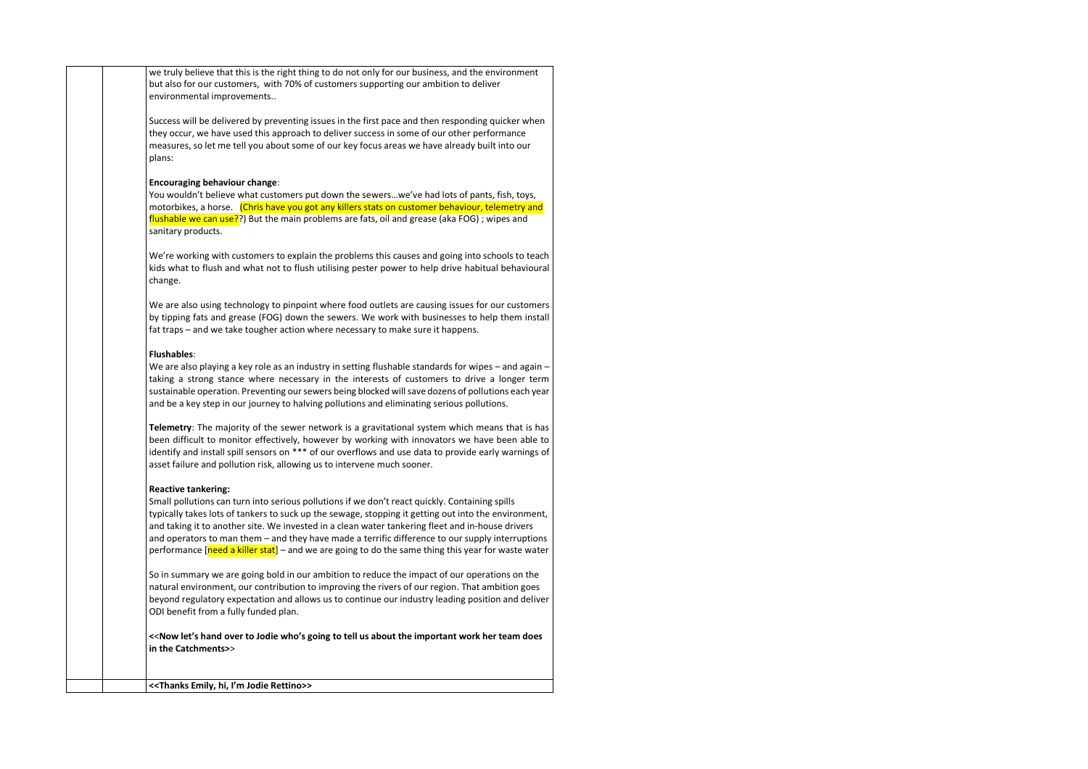we truly believe that this is the right thing to do not only for our business, and the environment but also for our customers, with 70% of customers supporting our ambition to deliver environmental improvements..

Success will be delivered by preventing issues in the first pace and then responding quicker when they occur, we have used this approach to deliver success in some of our other performance measures, so let me tell you about some of our key focus areas we have already built into our plans:

## **Encouraging behaviour change**:

We are also using technology to pinpoint where food outlets are causing issues for our customers by tipping fats and grease (FOG) down the sewers. We work with businesses to help them install fat traps – and we take tougher action where necessary to make sure it happens.

You wouldn't believe what customers put down the sewers…we've had lots of pants, fish, toys, motorbikes, a horse. (Chris have you got any killers stats on customer behaviour, telemetry and flushable we can use??) But the main problems are fats, oil and grease (aka FOG) ; wipes and sanitary products.

We are also playing a key role as an industry in setting flushable standards for wipes – and again – taking a strong stance where necessary in the interests of customers to drive a longer term sustainable operation. Preventing our sewers being blocked will save dozens of pollutions each year and be a key step in our journey to halving pollutions and eliminating serious pollutions.

We're working with customers to explain the problems this causes and going into schools to teach kids what to flush and what not to flush utilising pester power to help drive habitual behavioural change.

Small pollutions can turn into serious pollutions if we don't react quickly. Containing spills typically takes lots of tankers to suck up the sewage, stopping it getting out into the environment, and taking it to another site. We invested in a clean water tankering fleet and in-house drivers and operators to man them – and they have made a terrific difference to our supply interruptions performance  $[need a$  killer stat $]$  – and we are going to do the same thing this year for waste water

## **Flushables**:

**Telemetry**: The majority of the sewer network is a gravitational system which means that is has been difficult to monitor effectively, however by working with innovators we have been able to identify and install spill sensors on \*\*\* of our overflows and use data to provide early warnings of asset failure and pollution risk, allowing us to intervene much sooner.

## **Reactive tankering:**

So in summary we are going bold in our ambition to reduce the impact of our operations on the natural environment, our contribution to improving the rivers of our region. That ambition goes beyond regulatory expectation and allows us to continue our industry leading position and deliver ODI benefit from a fully funded plan.

**<**<**Now let's hand over to Jodie who's going to tell us about the important work her team does in the Catchments>**>

**<<Thanks Emily, hi, I'm Jodie Rettino>>**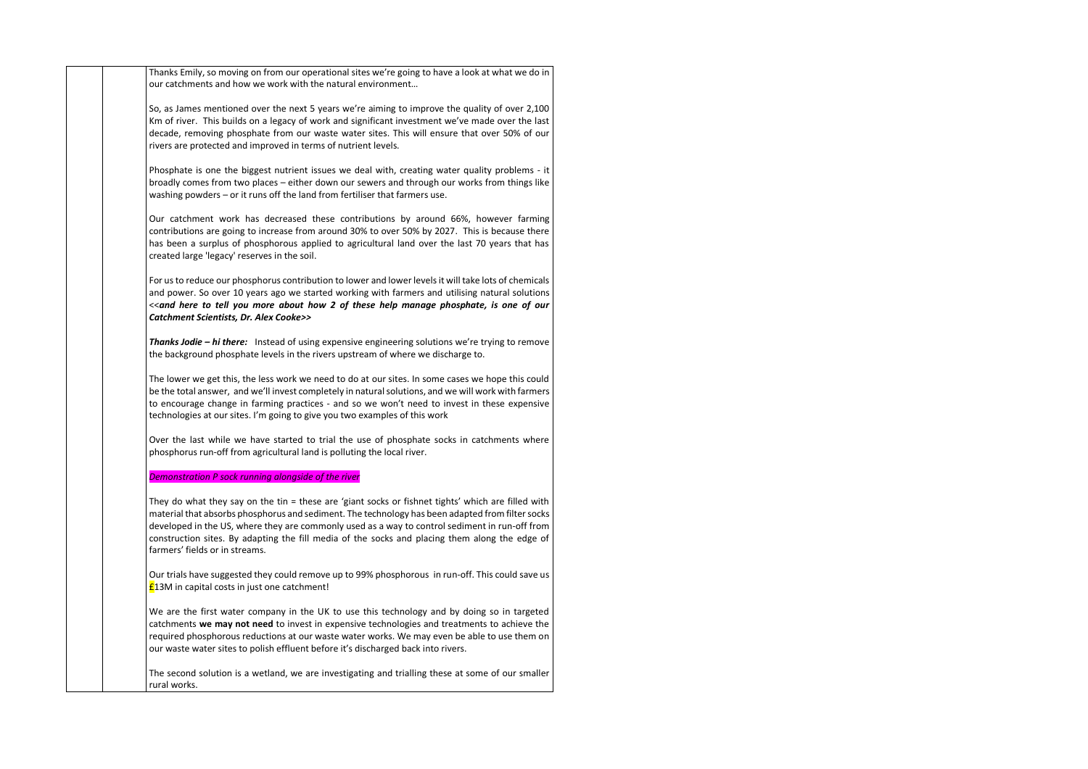Thanks Emily, so moving on from our operational sites we're going to have a look at what we do in our catchments and how we work with the natural environment…

So, as James mentioned over the next 5 years we're aiming to improve the quality of over 2,100 Km of river. This builds on a legacy of work and significant investment we've made over the last decade, removing phosphate from our waste water sites. This will ensure that over 50% of our rivers are protected and improved in terms of nutrient levels.

Phosphate is one the biggest nutrient issues we deal with, creating water quality problems - it broadly comes from two places – either down our sewers and through our works from things like washing powders – or it runs off the land from fertiliser that farmers use.

Our catchment work has decreased these contributions by around 66%, however farming contributions are going to increase from around 30% to over 50% by 2027. This is because there has been a surplus of phosphorous applied to agricultural land over the last 70 years that has created large 'legacy' reserves in the soil.

For us to reduce our phosphorus contribution to lower and lower levels it will take lots of chemicals and power. So over 10 years ago we started working with farmers and utilising natural solutions <<*and here to tell you more about how 2 of these help manage phosphate, is one of our Catchment Scientists, Dr. Alex Cooke>>*

Our trials have suggested they could remove up to 99% phosphorous in run-off. This could save us £13M in capital costs in just one catchment!

*Thanks Jodie – hi there:* Instead of using expensive engineering solutions we're trying to remove the background phosphate levels in the rivers upstream of where we discharge to.

The lower we get this, the less work we need to do at our sites. In some cases we hope this could be the total answer, and we'll invest completely in natural solutions, and we will work with farmers to encourage change in farming practices - and so we won't need to invest in these expensive technologies at our sites. I'm going to give you two examples of this work

Over the last while we have started to trial the use of phosphate socks in catchments where phosphorus run-off from agricultural land is polluting the local river.

## *Demonstration P sock running alongside of the river*

They do what they say on the tin = these are 'giant socks or fishnet tights' which are filled with material that absorbs phosphorus and sediment. The technology has been adapted from filter socks developed in the US, where they are commonly used as a way to control sediment in run-off from construction sites. By adapting the fill media of the socks and placing them along the edge of farmers' fields or in streams.

We are the first water company in the UK to use this technology and by doing so in targeted catchments **we may not need** to invest in expensive technologies and treatments to achieve the required phosphorous reductions at our waste water works. We may even be able to use them on our waste water sites to polish effluent before it's discharged back into rivers.

The second solution is a wetland, we are investigating and trialling these at some of our smaller rural works.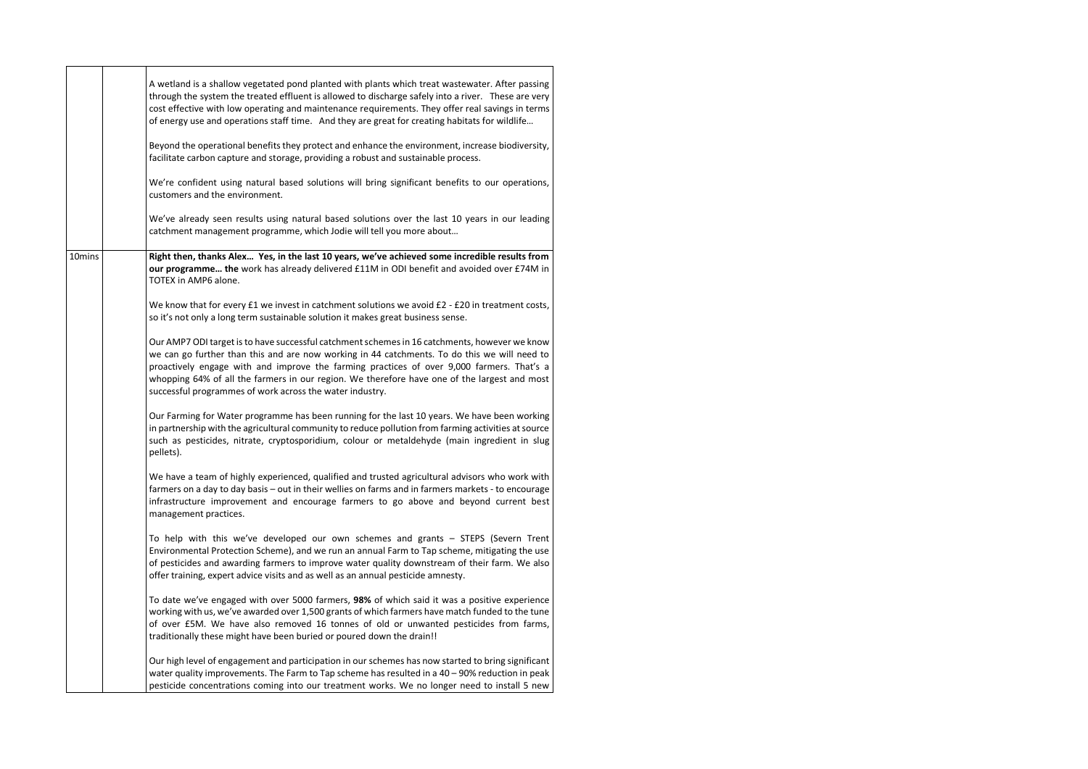|        | A wetland is a shallow vegetated pond planted with plants which treat wastewater. After passing<br>through the system the treated effluent is allowed to discharge safely into a river. These are very<br>cost effective with low operating and maintenance requirements. They offer real savings in terms<br>of energy use and operations staff time. And they are great for creating habitats for wildlife                                           |
|--------|--------------------------------------------------------------------------------------------------------------------------------------------------------------------------------------------------------------------------------------------------------------------------------------------------------------------------------------------------------------------------------------------------------------------------------------------------------|
|        | Beyond the operational benefits they protect and enhance the environment, increase biodiversity,<br>facilitate carbon capture and storage, providing a robust and sustainable process.                                                                                                                                                                                                                                                                 |
|        | We're confident using natural based solutions will bring significant benefits to our operations,<br>customers and the environment.                                                                                                                                                                                                                                                                                                                     |
|        | We've already seen results using natural based solutions over the last 10 years in our leading<br>catchment management programme, which Jodie will tell you more about                                                                                                                                                                                                                                                                                 |
| 10mins | Right then, thanks Alex Yes, in the last 10 years, we've achieved some incredible results from<br>our programme the work has already delivered £11M in ODI benefit and avoided over £74M in<br>TOTEX in AMP6 alone.                                                                                                                                                                                                                                    |
|        | We know that for every £1 we invest in catchment solutions we avoid £2 - £20 in treatment costs,<br>so it's not only a long term sustainable solution it makes great business sense.                                                                                                                                                                                                                                                                   |
|        | Our AMP7 ODI target is to have successful catchment schemes in 16 catchments, however we know<br>we can go further than this and are now working in 44 catchments. To do this we will need to<br>proactively engage with and improve the farming practices of over 9,000 farmers. That's a<br>whopping 64% of all the farmers in our region. We therefore have one of the largest and most<br>successful programmes of work across the water industry. |
|        | Our Farming for Water programme has been running for the last 10 years. We have been working<br>in partnership with the agricultural community to reduce pollution from farming activities at source<br>such as pesticides, nitrate, cryptosporidium, colour or metaldehyde (main ingredient in slug<br>pellets).                                                                                                                                      |
|        | We have a team of highly experienced, qualified and trusted agricultural advisors who work with<br>farmers on a day to day basis - out in their wellies on farms and in farmers markets - to encourage<br>infrastructure improvement and encourage farmers to go above and beyond current best<br>management practices.                                                                                                                                |
|        | To help with this we've developed our own schemes and grants - STEPS (Severn Trent<br>Environmental Protection Scheme), and we run an annual Farm to Tap scheme, mitigating the use<br>of pesticides and awarding farmers to improve water quality downstream of their farm. We also<br>offer training, expert advice visits and as well as an annual pesticide amnesty.                                                                               |
|        | To date we've engaged with over 5000 farmers, 98% of which said it was a positive experience<br>working with us, we've awarded over 1,500 grants of which farmers have match funded to the tune<br>of over £5M. We have also removed 16 tonnes of old or unwanted pesticides from farms,<br>traditionally these might have been buried or poured down the drain!!                                                                                      |
|        | Our high level of engagement and participation in our schemes has now started to bring significant<br>water quality improvements. The Farm to Tap scheme has resulted in a 40 - 90% reduction in peak<br>pesticide concentrations coming into our treatment works. We no longer need to install 5 new                                                                                                                                                  |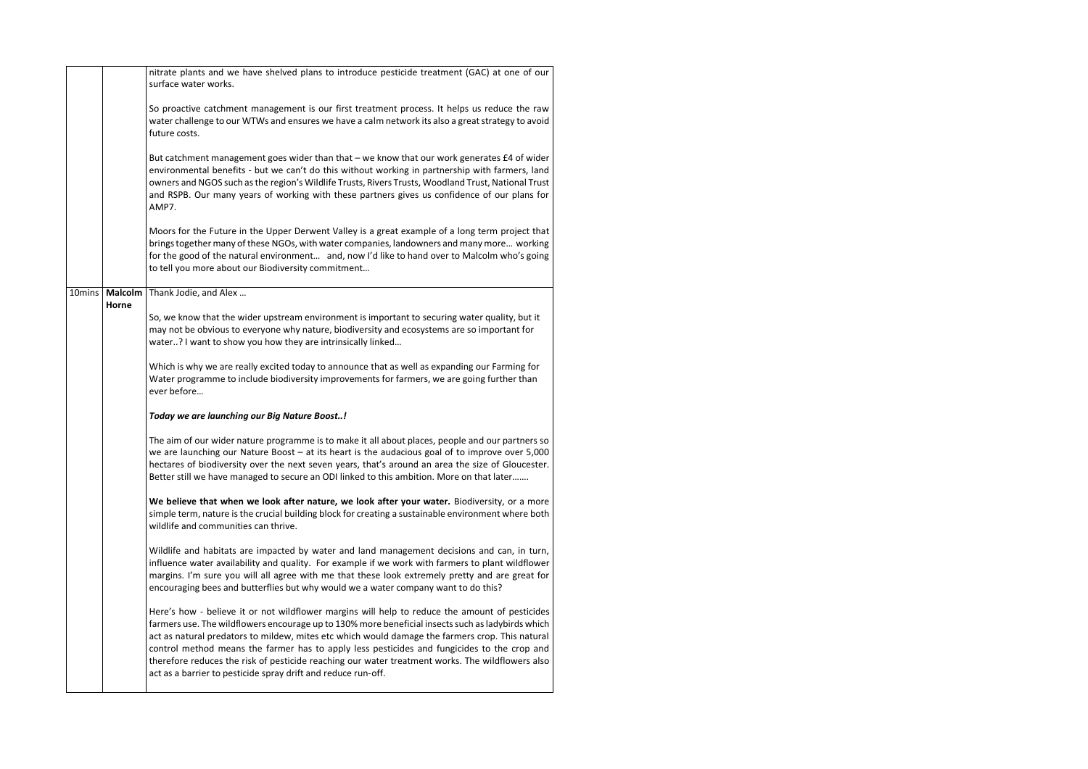|                | nitrate plants and we have shelved plans to introduce pesticide treatment (GAC) at one of our<br>surface water works.                                                                                                                                                                                                                                                                                                                                                                                                                                                      |
|----------------|----------------------------------------------------------------------------------------------------------------------------------------------------------------------------------------------------------------------------------------------------------------------------------------------------------------------------------------------------------------------------------------------------------------------------------------------------------------------------------------------------------------------------------------------------------------------------|
|                | So proactive catchment management is our first treatment process. It helps us reduce the raw<br>water challenge to our WTWs and ensures we have a calm network its also a great strategy to avoid<br>future costs.                                                                                                                                                                                                                                                                                                                                                         |
|                | But catchment management goes wider than that - we know that our work generates £4 of wider<br>environmental benefits - but we can't do this without working in partnership with farmers, land<br>owners and NGOS such as the region's Wildlife Trusts, Rivers Trusts, Woodland Trust, National Trust<br>and RSPB. Our many years of working with these partners gives us confidence of our plans for<br>AMP7.                                                                                                                                                             |
|                | Moors for the Future in the Upper Derwent Valley is a great example of a long term project that<br>brings together many of these NGOs, with water companies, landowners and many more working<br>for the good of the natural environment and, now I'd like to hand over to Malcolm who's going<br>to tell you more about our Biodiversity commitment                                                                                                                                                                                                                       |
| <b>Malcolm</b> | Thank Jodie, and Alex                                                                                                                                                                                                                                                                                                                                                                                                                                                                                                                                                      |
|                | So, we know that the wider upstream environment is important to securing water quality, but it<br>may not be obvious to everyone why nature, biodiversity and ecosystems are so important for<br>water? I want to show you how they are intrinsically linked                                                                                                                                                                                                                                                                                                               |
|                | Which is why we are really excited today to announce that as well as expanding our Farming for<br>Water programme to include biodiversity improvements for farmers, we are going further than<br>ever before                                                                                                                                                                                                                                                                                                                                                               |
|                | Today we are launching our Big Nature Boost!                                                                                                                                                                                                                                                                                                                                                                                                                                                                                                                               |
|                | The aim of our wider nature programme is to make it all about places, people and our partners so<br>we are launching our Nature Boost - at its heart is the audacious goal of to improve over 5,000<br>hectares of biodiversity over the next seven years, that's around an area the size of Gloucester.<br>Better still we have managed to secure an ODI linked to this ambition. More on that later                                                                                                                                                                      |
|                | We believe that when we look after nature, we look after your water. Biodiversity, or a more<br>simple term, nature is the crucial building block for creating a sustainable environment where both<br>wildlife and communities can thrive.                                                                                                                                                                                                                                                                                                                                |
|                | Wildlife and habitats are impacted by water and land management decisions and can, in turn,<br>influence water availability and quality. For example if we work with farmers to plant wildflower<br>margins. I'm sure you will all agree with me that these look extremely pretty and are great for<br>encouraging bees and butterflies but why would we a water company want to do this?                                                                                                                                                                                  |
|                | Here's how - believe it or not wildflower margins will help to reduce the amount of pesticides<br>farmers use. The wildflowers encourage up to 130% more beneficial insects such as ladybirds which<br>act as natural predators to mildew, mites etc which would damage the farmers crop. This natural<br>control method means the farmer has to apply less pesticides and fungicides to the crop and<br>therefore reduces the risk of pesticide reaching our water treatment works. The wildflowers also<br>act as a barrier to pesticide spray drift and reduce run-off. |
|                | Horne                                                                                                                                                                                                                                                                                                                                                                                                                                                                                                                                                                      |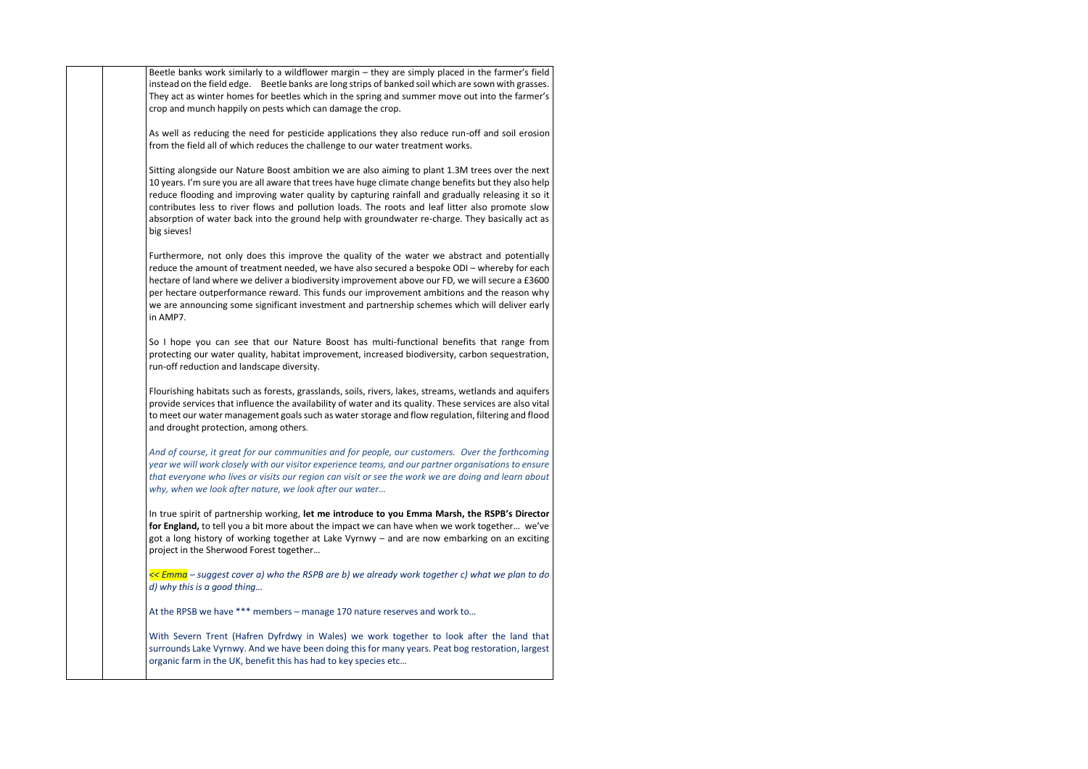| Beetle banks work similarly to a wildflower margin - they are simply placed in the farmer's field<br>instead on the field edge. Beetle banks are long strips of banked soil which are sown with grasses.<br>They act as winter homes for beetles which in the spring and summer move out into the farmer's<br>crop and munch happily on pests which can damage the crop.<br>As well as reducing the need for pesticide applications they also reduce run-off and soil erosion<br>from the field all of which reduces the challenge to our water treatment works.<br>Sitting alongside our Nature Boost ambition we are also aiming to plant 1.3M trees over the next<br>10 years. I'm sure you are all aware that trees have huge climate change benefits but they also help<br>reduce flooding and improving water quality by capturing rainfall and gradually releasing it so it<br>contributes less to river flows and pollution loads. The roots and leaf litter also promote slow<br>absorption of water back into the ground help with groundwater re-charge. They basically act as<br>big sieves!<br>Furthermore, not only does this improve the quality of the water we abstract and potentially<br>reduce the amount of treatment needed, we have also secured a bespoke ODI - whereby for each<br>hectare of land where we deliver a biodiversity improvement above our FD, we will secure a £3600<br>per hectare outperformance reward. This funds our improvement ambitions and the reason why<br>we are announcing some significant investment and partnership schemes which will deliver early<br>in AMP7.<br>So I hope you can see that our Nature Boost has multi-functional benefits that range from<br>protecting our water quality, habitat improvement, increased biodiversity, carbon sequestration,<br>run-off reduction and landscape diversity.<br>Flourishing habitats such as forests, grasslands, soils, rivers, lakes, streams, wetlands and aquifers<br>provide services that influence the availability of water and its quality. These services are also vital<br>to meet our water management goals such as water storage and flow regulation, filtering and flood<br>and drought protection, among others.<br>And of course, it great for our communities and for people, our customers. Over the forthcoming<br>year we will work closely with our visitor experience teams, and our partner organisations to ensure<br>that everyone who lives or visits our region can visit or see the work we are doing and learn about<br>why, when we look after nature, we look after our water<br>In true spirit of partnership working, let me introduce to you Emma Marsh, the RSPB's Director<br>for England, to tell you a bit more about the impact we can have when we work together we've<br>got a long history of working together at Lake Vyrnwy - and are now embarking on an exciting<br>project in the Sherwood Forest together<br>$\leq$ Emma – suggest cover a) who the RSPB are b) we already work together c) what we plan to do<br>d) why this is a good thing<br>At the RPSB we have *** members - manage 170 nature reserves and work to<br>With Severn Trent (Hafren Dyfrdwy in Wales) we work together to look after the land that<br>surrounds Lake Vyrnwy. And we have been doing this for many years. Peat bog restoration, largest<br>organic farm in the UK, benefit this has had to key species etc |  |
|----------------------------------------------------------------------------------------------------------------------------------------------------------------------------------------------------------------------------------------------------------------------------------------------------------------------------------------------------------------------------------------------------------------------------------------------------------------------------------------------------------------------------------------------------------------------------------------------------------------------------------------------------------------------------------------------------------------------------------------------------------------------------------------------------------------------------------------------------------------------------------------------------------------------------------------------------------------------------------------------------------------------------------------------------------------------------------------------------------------------------------------------------------------------------------------------------------------------------------------------------------------------------------------------------------------------------------------------------------------------------------------------------------------------------------------------------------------------------------------------------------------------------------------------------------------------------------------------------------------------------------------------------------------------------------------------------------------------------------------------------------------------------------------------------------------------------------------------------------------------------------------------------------------------------------------------------------------------------------------------------------------------------------------------------------------------------------------------------------------------------------------------------------------------------------------------------------------------------------------------------------------------------------------------------------------------------------------------------------------------------------------------------------------------------------------------------------------------------------------------------------------------------------------------------------------------------------------------------------------------------------------------------------------------------------------------------------------------------------------------------------------------------------------------------------------------------------------------------------------------------------------------------------------------------------------------------------------------------------------------------------------------------------------------------------------------------------------------------------------------------------------------------------------------------------------------------------------------------------------------------------------------------------------------------------------------------------------------------------------------------------------------------------------------------------------------------------|--|
|                                                                                                                                                                                                                                                                                                                                                                                                                                                                                                                                                                                                                                                                                                                                                                                                                                                                                                                                                                                                                                                                                                                                                                                                                                                                                                                                                                                                                                                                                                                                                                                                                                                                                                                                                                                                                                                                                                                                                                                                                                                                                                                                                                                                                                                                                                                                                                                                                                                                                                                                                                                                                                                                                                                                                                                                                                                                                                                                                                                                                                                                                                                                                                                                                                                                                                                                                                                                                                                          |  |
|                                                                                                                                                                                                                                                                                                                                                                                                                                                                                                                                                                                                                                                                                                                                                                                                                                                                                                                                                                                                                                                                                                                                                                                                                                                                                                                                                                                                                                                                                                                                                                                                                                                                                                                                                                                                                                                                                                                                                                                                                                                                                                                                                                                                                                                                                                                                                                                                                                                                                                                                                                                                                                                                                                                                                                                                                                                                                                                                                                                                                                                                                                                                                                                                                                                                                                                                                                                                                                                          |  |
|                                                                                                                                                                                                                                                                                                                                                                                                                                                                                                                                                                                                                                                                                                                                                                                                                                                                                                                                                                                                                                                                                                                                                                                                                                                                                                                                                                                                                                                                                                                                                                                                                                                                                                                                                                                                                                                                                                                                                                                                                                                                                                                                                                                                                                                                                                                                                                                                                                                                                                                                                                                                                                                                                                                                                                                                                                                                                                                                                                                                                                                                                                                                                                                                                                                                                                                                                                                                                                                          |  |
|                                                                                                                                                                                                                                                                                                                                                                                                                                                                                                                                                                                                                                                                                                                                                                                                                                                                                                                                                                                                                                                                                                                                                                                                                                                                                                                                                                                                                                                                                                                                                                                                                                                                                                                                                                                                                                                                                                                                                                                                                                                                                                                                                                                                                                                                                                                                                                                                                                                                                                                                                                                                                                                                                                                                                                                                                                                                                                                                                                                                                                                                                                                                                                                                                                                                                                                                                                                                                                                          |  |
|                                                                                                                                                                                                                                                                                                                                                                                                                                                                                                                                                                                                                                                                                                                                                                                                                                                                                                                                                                                                                                                                                                                                                                                                                                                                                                                                                                                                                                                                                                                                                                                                                                                                                                                                                                                                                                                                                                                                                                                                                                                                                                                                                                                                                                                                                                                                                                                                                                                                                                                                                                                                                                                                                                                                                                                                                                                                                                                                                                                                                                                                                                                                                                                                                                                                                                                                                                                                                                                          |  |
|                                                                                                                                                                                                                                                                                                                                                                                                                                                                                                                                                                                                                                                                                                                                                                                                                                                                                                                                                                                                                                                                                                                                                                                                                                                                                                                                                                                                                                                                                                                                                                                                                                                                                                                                                                                                                                                                                                                                                                                                                                                                                                                                                                                                                                                                                                                                                                                                                                                                                                                                                                                                                                                                                                                                                                                                                                                                                                                                                                                                                                                                                                                                                                                                                                                                                                                                                                                                                                                          |  |
|                                                                                                                                                                                                                                                                                                                                                                                                                                                                                                                                                                                                                                                                                                                                                                                                                                                                                                                                                                                                                                                                                                                                                                                                                                                                                                                                                                                                                                                                                                                                                                                                                                                                                                                                                                                                                                                                                                                                                                                                                                                                                                                                                                                                                                                                                                                                                                                                                                                                                                                                                                                                                                                                                                                                                                                                                                                                                                                                                                                                                                                                                                                                                                                                                                                                                                                                                                                                                                                          |  |
|                                                                                                                                                                                                                                                                                                                                                                                                                                                                                                                                                                                                                                                                                                                                                                                                                                                                                                                                                                                                                                                                                                                                                                                                                                                                                                                                                                                                                                                                                                                                                                                                                                                                                                                                                                                                                                                                                                                                                                                                                                                                                                                                                                                                                                                                                                                                                                                                                                                                                                                                                                                                                                                                                                                                                                                                                                                                                                                                                                                                                                                                                                                                                                                                                                                                                                                                                                                                                                                          |  |
|                                                                                                                                                                                                                                                                                                                                                                                                                                                                                                                                                                                                                                                                                                                                                                                                                                                                                                                                                                                                                                                                                                                                                                                                                                                                                                                                                                                                                                                                                                                                                                                                                                                                                                                                                                                                                                                                                                                                                                                                                                                                                                                                                                                                                                                                                                                                                                                                                                                                                                                                                                                                                                                                                                                                                                                                                                                                                                                                                                                                                                                                                                                                                                                                                                                                                                                                                                                                                                                          |  |
|                                                                                                                                                                                                                                                                                                                                                                                                                                                                                                                                                                                                                                                                                                                                                                                                                                                                                                                                                                                                                                                                                                                                                                                                                                                                                                                                                                                                                                                                                                                                                                                                                                                                                                                                                                                                                                                                                                                                                                                                                                                                                                                                                                                                                                                                                                                                                                                                                                                                                                                                                                                                                                                                                                                                                                                                                                                                                                                                                                                                                                                                                                                                                                                                                                                                                                                                                                                                                                                          |  |
|                                                                                                                                                                                                                                                                                                                                                                                                                                                                                                                                                                                                                                                                                                                                                                                                                                                                                                                                                                                                                                                                                                                                                                                                                                                                                                                                                                                                                                                                                                                                                                                                                                                                                                                                                                                                                                                                                                                                                                                                                                                                                                                                                                                                                                                                                                                                                                                                                                                                                                                                                                                                                                                                                                                                                                                                                                                                                                                                                                                                                                                                                                                                                                                                                                                                                                                                                                                                                                                          |  |